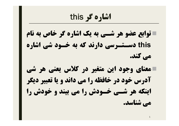**اشاره گر this توابع عضو هر شـی به یک اشاره گر خاص به نام this دسـتـرسی دارند که به خـود شی اشاره می کند. معناي وجود این متغیر در کلاس یعنی هر شی آدرس خود در خافظه را می داند و یا تعبیر دیگر اینکه هر شـی خـودش را می بیند و خودش را می شناسد.**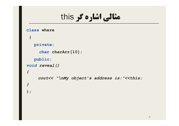# **مثالی اشاره گر** this

```
class where
 {
  private:
     char charArr[10];
   public:
void reveal()
{
    cout<< "\nMy object's address is:"<<this;
}
};
```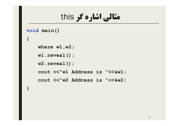# **مثالی اشاره گر** this

```
void main()
```

```
{
```
**}**

**where w1,w2; w1.reveal(); w2.reveal(); cout <<"w1 Address is "<<&w1; cout <<"w2 Address is "<<&w2;**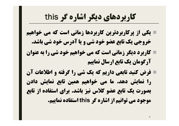# **کاربردهاي دیگر اشاره گر this**

- **یکی از پرکاربردترین کاربردها زمانی است که می خواهیم خروجی یک تابع عضو خود شی و یا آدرس خود شی باشد.**
- **کاربرد دیگر زمانی است که می خواهیم خود شی را به عنوان آرگومان یک تابع ارسال نماییم**
- **فرض کنید تابعی داریم که یک شی را گرفته و اطلاعات آن را نمایش دهد. ما می خواهیم همین تابع نمایش دادن بصورت یک تابع عضو کلاس نیز باشد. براي استفاده از تابع موجود می توانیم از اشاره گر this استفاده نماییم.**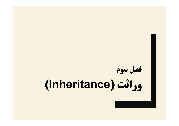# **فصل سوم وراثت (Inheritance(**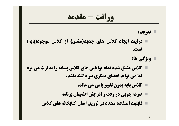**وراثت - مقدمه**

**تعریف:**

- **فرایند ایجاد کلاس هاي جدید(مشتق) از کلاس موجود(پایه) است.**
	- **ویژگی ها:**
- **کلاس مشتق شده تمام توانایی هاي کلاس پـایه را به ارث می برد اما می تواند اعضاي دیگري نیز داشته باشد.**
	- **کلاس پایه بدون تغییر باقی می ماند.**
	- **صرفه جویی در وقت و افزایش اطمینان برنامه**
	- **قابلیت استفاده مجدد در توزیع آسان کتابخانه هاي کلاس**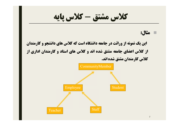**کلاس مشتق - کلاس پایه**

**مثال:**

**این یک نمونه از وراثت در جامعه دانشگاه است که کلاس هاي دانشجو و کارمندان از کلاس اعضاي جامعه مشتق شده اند و کلاس هاي استاد و کارمندان اداري از کلاس کارمندان مشتق شده اند.**

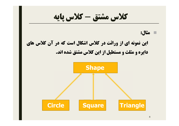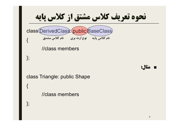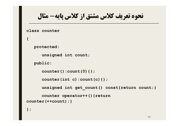**نحوه تعریف کلاس مشتق از کلاس پایه- مثال**

**class counter**

```
protected:
```
**unsigned int count;**

**public:**

```
counter():count(0){};
```

```
counter(int c):count(c){};
```
**unsigned int get\_count() const{return count;}**

```
counter operator++(){return 
counter(++count);}
```
**};**

**{**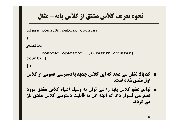**نحوه تعریف کلاس مشتق از کلاس پایه- مثال**

```
class countDn:public counter
{ 
public:
       counter operator--(){return counter(--
count);}
};
■ کد بالا نشان می دهد که این کلاس جدید با دسترسی عمومی از کلاس 
                                        اول مشتق شده است.
■ توابع عضو کلاس پایه را می توان به وسیله اشیاء کلاس مشتق مورد
دسترسی قـرار داد که البته این به قابلیت دسترسی کلاس مشتق باز
                                                 می گردد.
```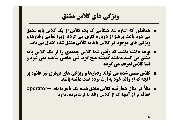#### **ویژگی هاي کلاس مشتق**

- **همانطور که اشاره شد هنگامی که یک کلاس از یک کلاس پایه مشتق می شود باعث پرهیز از دوباره کاري می گردد زیرا تمامی رفتارها و ویژگی هاي موجود در کلاس پایه به کلاس مشتق شده انتقال می یابد**
- **توجه داشته باشید که وقتی شما کلاس جدیدي را از یک کلاس پایه مشتق می کنید همانند گذشته هیچ گونه شی خاصی ساخته نمی شود و تنها کلاس تعریف می گردد**
- **کلاس مشتق شده می تواند رفتارها و ویژگی هاي دیگري نیز علاوه بر آنچه که از والد خود به ارث برده است داشته باشد.**
- **مثلاً در مثال شمارنده کلاس مشتق شده یک تابع با نام --operator اضافه تر از آنچه که از کلاس والد به ارث برده، دارد**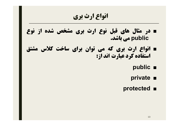# **انواع ارث بري**

- **در مثال هاي قبل نوع ارث بري مشخص شده از نوع public می باشد.**
- **انواع ارث بري که می توان براي ساخت کلاس مشتق استفاده کرد عبارت اند از:**
	- **public** ■
	- **private** ■
	- **protected** ■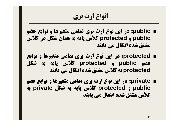# **انواع ارث بري**

- **public: در این نوع ارث بري تمامی متغیرها و توابع عضو public و protected کلاس پایه به همان شکل در کلاس مشتق شده انتقال می یابند**
- **protected: در این نوع ارث بري تمامی متغیرها و توابع عضو public و protected کلاس پایه به شکل protected به کلاس مشتق شده انتقال می یابند**
- **private: در این نوع ارث بري تمامی متغیرها و توابع عضو public و protected کلاس پایه به شکل private به کلاس مشتق شده انتقال می یابند**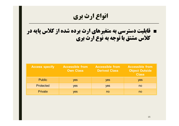**انواع ارث بري** ■ **قابلیت دسترسی به متغیرهاي ارث برده شده از کلاس پایه در کلاس مشتق با توجه به نوع ارث بري**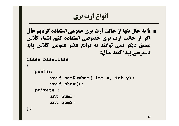**انواع ارث بري**

■ **تا به حال تنها از حالت ارث بري عمومی استفاده کردیم حال اگر از حالت ارث بري خصوصی استفاده کنیم اشیاء کلاس مشتق دیگر نمی توانند به توابع عضو عمومی کلاس پایه دسترسی پیدا کنند مثال:**

```
class baseClass
```

```
{
```

```
public:
```

```
void setNumber( int x, int y);
     void show();
private :
     int num1;
     int num2;
```
**};**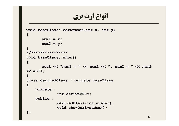# **انواع ارث بري**

```
void baseClass::setNumber(int x, int y)
{
      num1 = x;
      num2 = y;
}
//****************
void baseClass::show()
{
      cout << "num1 = " << num1 << ", num2 = " << num2 
<< endl;
}
class derivedClass : private baseClass
{
    private :
              int derivedNum;
    public :
              derivedClass(int number);
              void showDerivedNum();
};
```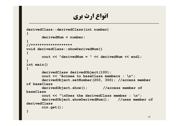# **انواع ارث بري**

```
derivedClass::derivedClass(int number)
{
       derivedNum = number;
}
//*******************
void derivedClass::showDerivedNum()
{
       cout << "derivedNum = " << derivedNum << endl; 
}
int main()
{
       derivedClass derivedObject(100);
       cout << "Accsee to baseClass members : \n";
       derivedObject.setNumber(200, 300); //access member 
of baseClass
       derivedObject.show(); //access member of
baseClass
       cout << "\nUses the derivedClass member : \n";
       derivedObject.showDerivedNum(); //uses member of 
derivedClass
       cin.get();
}
```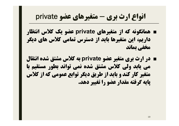# **انواع ارث بري - متغیرهاي عضو private**

- **همانگونه که از متغیرهاي private عضو یک کلاس انتظار داریم، این متغیرها باید از دسترس تمامی کلاس هاي دیگر مخفی بماند**
- **در ارث بري متغیر عضو private به کلاس مشتق شده انتقال می یابد ولی کلاس مشتق شده نمی تواند بطور مستقیم با متغیر کار کند و باید از طریق دیگر توابع عمومی که از کلاس پایه گرفته مقدار عضو را تغییر دهد.**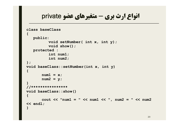```
انواع ارث بري - متغیرهاي عضو private
```

```
class baseClass
{
   public:
          void setNumber( int x, int y);
          void show();
   protected :
          int num1;
          int num2;
};
void baseClass::setNumber(int x, int y)
{
      num1 = x;
       num2 = y;
}
//****************
void baseClass::show()
{
      cout << "num1 = " << num1 << ", num2 = " << num2 
<< endl;
}
```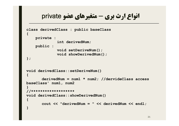### **انواع ارث بري - متغیرهاي عضو private**

```
class derivedClass : public baseClass
{
    private :
              int derivedNum;
    public :
              void setDeriveNum();
              void showDerivedNum();
};
void derivedClass::setDeriveNum()
{
       derivedNum = num1 * num2; //dervideClass access 
baseClass' num1, num2
}
//*******************
void derivedClass::showDerivedNum()
{
       cout << "derivedNum = " << derivedNum << endl; 
}
```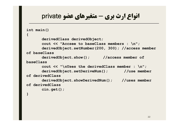#### **انواع ارث بري - متغیرهاي عضو private**

```
int main()
{
      derivedClass derivedObject;
      cout << "Accsee to baseClass members : \n";
      derivedObject.setNumber(200, 300); //access member 
of baseClass
      derivedObject.show(); //access member of 
baseClass
      cout << "\nUses the derivedClass member : \n";
      derivedObject.setDeriveNum(); //use member 
of derivedClass
      derivedObject.showDerivedNum(); //uses member 
of derivedClass
      cin.get();
}
```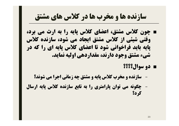# **سازنده ها و مخرب ها در کلاس هاي مشتق**

- **چون کلاس مشتق، اعضاي کلاس پایه را به ارث می برد، وقتی شیئی از کلاس مشتق ایجاد می شود، سازنده کلاس پایه باید فراخوانی شود تا اعضاي کلاس پایه اي را که در شیء مشتق وجود دارند، مقداردهی اولیه نماید.**
	- **دو سوال؟؟؟؟**
	- **سازنده و مخرب کلاس پایه و مشتق چه زمانی اجرا می شوند؟**
- **چگونه می توان پارامتري را به تابع سازنده کلاس پایه ارسال کرد؟**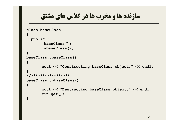```
سازنده ها و مخرب ها در کلاس هاي مشتق
class baseClass
{
 public :
       baseClass();
        ~baseClass();
};
baseClass::baseClass()
{
      cout << "Constructing baseClass object." << endl;
}
//*****************
baseClass::~baseClass()
{
       cout << "Destructing baseClass object." << endl;
       cin.get();
}
```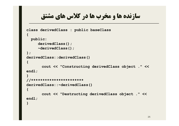```
سازنده ها و مخرب ها در کلاس هاي مشتق
```

```
class derivedClass : public baseClass
{
 public:
     derivedClass();
     ~derivedClass();
};
derivedClass::derivedClass()
{
       cout << "Constructing derivedClass object ." << 
endl;
}
//***********************
derivedClass::~derivedClass()
{
       cout << "Destructing derivedClass object ." << 
endl;
}
```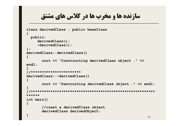```
سازنده ها و مخرب ها در کلاس هاي مشتق
class derivedClass : public baseClass
{
 public:
    derivedClass();
    ~derivedClass();
};
derivedClass::derivedClass()
{
      cout << "Constructing derivedClass object ." << 
endl;
}
//***********************
derivedClass::~derivedClass()
{
      cout << "Destructing derivedClass object ." << endl;
}
//*********************************************************
******
int main()
{
      //creat a derivedClass object
      derivedClass derivedObject;
} 26
```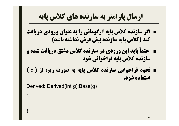# **ارسال پارامتر به سازنده هاي کلاس پایه**

- **اگر سازنده کلاس پایه آرگومانی را به عنوان ورودي دریافت کند (کلاس پایه سازنده پیش فرض نداشته باشد)**
- **حتماً باید این ورودي در سازنده کلاس مشتق دریافت شده و سازنده کلاس پایه فراخوانی شود**
- **نحوه فراخوانی سازنده کلاس پایه به صورت زیر، از ( : ) استفاده شود.**

Derived::Derived(int g):Base(g)

 $\{$ 

}

....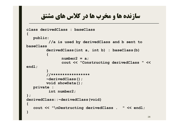```
سازنده ها و مخرب ها در کلاس هاي مشتق
class derivedClass : baseClass
{
   public:
          //a is used by derivedClass and b sent to 
baseClass
         derivedClass(int a, int b) : baseClass(b)
         {
               number2 = a;
               cout << "Constructing derivedClass " << 
endl;
         }
         //*****************
         ~derivedClass();
        void showData();
   private :
          int number2;
};
derivedClass::~derivedClass(void)
{
   cout << "\nDestructing derivedClass . " << endl;
}
```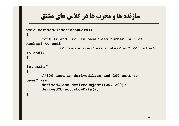```
سازنده ها و مخرب ها در کلاس هاي مشتق
void derivedClass::showData()
{
      cout << endl << "in baseClass number1 = " << 
number1 << endl
              << "in derivedClass number2 = " << number2 
<< endl;
}
int main()
{
      //100 used in derivedClass and 200 sent to 
baseClass
       derivedClass derivedObject(100, 200);
       derivedObject.showData();
}
```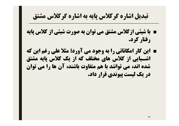# **تبدیل اشاره گرکلاس پایه به اشاره گرکلاس مشتق**

- **با شیئی ازکلاس مشتق می توان به صورت شیئی از کلاس پایه رفتار کرد.**
- **این کار امکاناتی را به وجود می آورد؛ مثلا علی رغم این که اشـیایی از کلاس هاي مختلف که از یک کلاس پایه مشتق شده اند، می توانند با هم متفاوت باشند، آن ها را می توان در یک لیست پیوندي قرار داد.**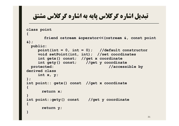**تبدیل اشاره گرکلاس پایه به اشاره گرکلاس مشتق**

#### **class point**

**{**

```
friend ostream &operator<<(ostream &, const point 
&);
 public:
    point(int = 0, int = 0); //default constructor
    void setPoint(int, int); //set coordinates
    int getx() const; //get x coordinate
    int gety() const; //get y coordinate
 protected: // accessible by
derived class
    int x, y;
};
int point:: getx() const //get x coordinate
{
      return x;
}
int point::gety() const //get y coordinate
{
      return y;
}
```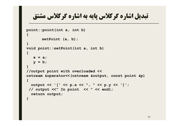# **تبدیل اشاره گرکلاس پایه به اشاره گرکلاس مشتق**

```
point::point(int a, int b)
{
       setPoint (a, b);
}
void point::setPoint(int a, int b)
{
   x = a;
   y = b;
}
//outpot point with overloaded <<
ostream &operator<<(ostream &output, const point &p)
{
  output << '[' << p.x << ", " << p.y << ']';
 // output <<" In point << " << endl;
  return output;
}
```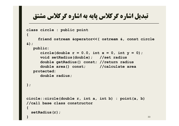```
تبدیل اشاره گرکلاس پایه به اشاره گرکلاس مشتق
class circle : public point
{
    friend ostream &operator<<( ostream &, const circle 
&);
  public:
     circle (double r = 0.0, int x = 0, int y = 0);void setRadius(double); //set radius
     double getRadius() const; //return radius
     double area() const; //calculate area
  protected:
     double radius;
};
circle::circle(double r, int a, int b) : point(a, b) 
//call base class constructor
{
 setRadius(r);
} 33
```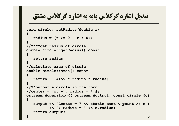**تبدیل اشاره گرکلاس پایه به اشاره گرکلاس مشتق**

```
void circle::setRadius(double r)
{
  radius = (r \ge 0 ? r : 0);}
//****get radius of circle
double circle::getRadius() const
{
  return radius;
}
//calculate area of circle
double circle::area() const
{
  return 3.14159 * radius * radius;
}
//**output a circle in the form:
//center = [x, y]; radius = #.##
ostream &operator<<( ostream &output, const circle &c)
{
  output << "Center = " << static_cast < point >( c )
         << "; Radius = " << c.radius;
  return output;
} 34
```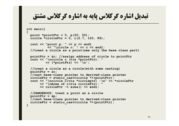**تبدیل اشاره گرکلاس پایه به اشاره گرکلاس مشتق**

```
int main()
{
 point *pointPtr = 0, p(30, 50);
  circle *circlePtr = 0, c(2.7, 120, 89);
  cout \lt\lt "point p: " \lt\lt p \lt\lt endl
           \prec "\circle c: " \prec c \prec endl;
  //treat a circle as a point(see only the base class part)
  pointPtr = &c; //assign address of circle to pointPtr
  cout << "\ncircle c (via *pointPtr): "
          << (*pointPtr) << '\n';
  //treat a circle as a circle(with some casting)
  pointPtr = &c;
  //cast base-class pointer to derived-class pointer
  circlePtr = static_cast<circle *>(pointPtr);
  cout << "\ncircle c(via *circleptr) :\n" << *circlePtr
       << "\nArea of c(via circlePtr): "
       << circlePtr -> area() << endl;
  //DANGEROUS: treat a point as a circle
  pointPtr = &p;
  //cast base-class pointer to derived-class pointer
  circlePtr = static_cast<circle *>(pointPtr);
}
```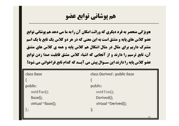■**ویژگی منحصر به فرد دیگري که وراثت امکان آن را به ما می دهد هم پوشانی توابع عضو کلاس هاي پایه و مشتق است به این معنی که در هر دو کلاس یک تابع با یک اسم مشترك داریم براي مثال در مثال اشکال هم کلاس پایه و همه ي کلاس هاي مشتق آن، تابع ترسیم را دارند و از آنجایی که اشیاء کلاس مشتق قابلیت صدا زدن توابع عضو کلاس پایه را دارند این سـوال پیش می آیـد که کدام تابع فراخوانی می شود؟**

| class Base          | class Derived : public Base |
|---------------------|-----------------------------|
|                     |                             |
| public:             | public:                     |
| void $Fun()$ ;      | void $Fun()$ ;              |
| Base();             | Derived();                  |
| virtual ~Base();    | virtual ~Derived();         |
| $\vert \cdot \vert$ | };                          |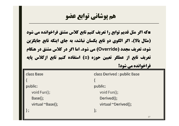■**که اگر مثل قدیم توابع را تعریف کنیم تابع کلاس مشتق فراخوانده می شود (مثال بالا). اگر الگوي دو تابع یکسان نباشد، به جاي اینکه تابع جایگزین شود، تعریف مجدد (Override (می شود. اما اگر در کلاس مشتق در هنگام تعریف تابع از عملگر تعیین حوزه (::) استفاده کنیم تابع ازکلاس پایه**

**فراخوانده می شود!**

| class Base       | class Derived : public Base |
|------------------|-----------------------------|
|                  |                             |
| public:          | public:                     |
| void $Fun()$ ;   | void $Fun()$ ;              |
| Base();          | Derived();                  |
| virtual ~Base(); | virtual ~Derived();         |
| $\cdot$          | $\}$                        |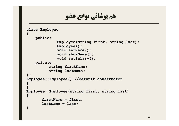```
هم پوشانی توابع عضو
class Employee
{
    public:
             Employee(string first, string last);
             Employee();
             void setName();
             void showName();
             void setSalary();
    private :
          string firstName;
          string lastName;
};
Employee::Employee() //default constructor
{
}
Employee::Employee(string first, string last)
{
       firstName = first;
       lastName = last;
}
```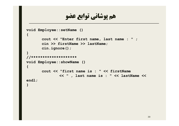```
void Employee::setName ()
{
       cout << "Enter first name, last name : " ;
       cin >> firstName >> lastName;
       cin.ignore();
}
//********************
void Employee::showName ()
{
       cout << "first name is : " << firstName
              << " , last name is : " << lastName << 
endl;
```
**}**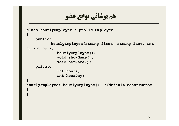```
class hourlyEmployee : public Employee
{
    public:
           hourlyEmployee(string first, string last, int 
h, int hp );
             hourlyEmployee();
             void showName();
             void setName();
    private :
              int hours;
              int hourPay;
};
hourlyEmployee::hourlyEmployee() //default constructor
{
}
```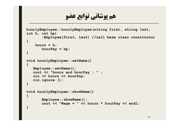```
hourlyEmployee::hourlyEmployee(string first, string last, 
int h, int hp) 
       :Employee(first, last) //call base class constructor
{
    hours = h;
       hourPay = hp;
}
void hourlyEmployee::setName()
{
   Employee::setName();
   cout << "hours and hourPay : " ;
   cin >> hours >> hourPay;
   cin.ignore ();
}
void hourlyEmployee::showName()
{
       Employee::showName();
       cout << "Wage = " << hours * hourPay << endl;
}
```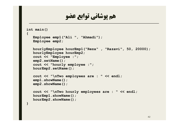```
int main()
{
    Employee emp1("Ali ", "Ahmadi");
  Employee emp2;
    hourlyEmployee hourEmp1("Reza" , "Razavi", 50, 20000);
   hourlyEmployee hourEmp2;
   cout << "Employee :";
   emp2.setName();
   cout << "hourly employee :";
   hourEmp2.setName();
   cout << "\nTwo employees are : " << endl;
   emp1.showName();
   emp2.showName();
   cout << "\nTwo hourly employees are : " << endl;
   hourEmp1.showName();
   hourEmp2.showName();
}
```